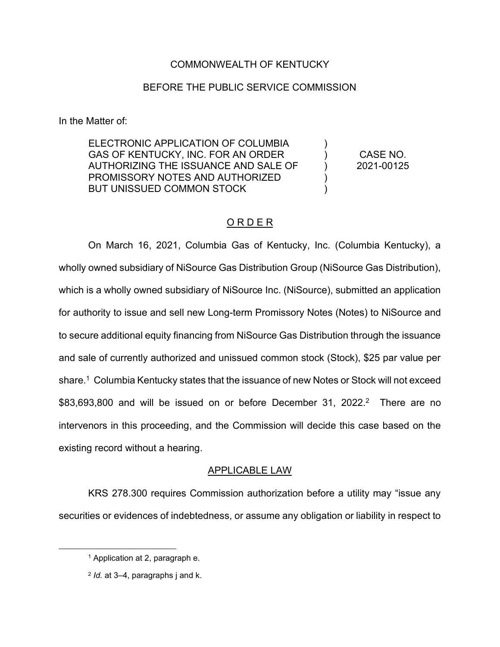### COMMONWEALTH OF KENTUCKY

### BEFORE THE PUBLIC SERVICE COMMISSION

In the Matter of:

ELECTRONIC APPLICATION OF COLUMBIA GAS OF KENTUCKY, INC. FOR AN ORDER AUTHORIZING THE ISSUANCE AND SALE OF PROMISSORY NOTES AND AUTHORIZED BUT UNISSUED COMMON STOCK

CASE NO. 2021-00125

) )  $\lambda$ ) )

## O R D E R

On March 16, 2021, Columbia Gas of Kentucky, Inc. (Columbia Kentucky), a wholly owned subsidiary of NiSource Gas Distribution Group (NiSource Gas Distribution), which is a wholly owned subsidiary of NiSource Inc. (NiSource), submitted an application for authority to issue and sell new Long-term Promissory Notes (Notes) to NiSource and to secure additional equity financing from NiSource Gas Distribution through the issuance and sale of currently authorized and unissued common stock (Stock), \$25 par value per share.<sup>1</sup> Columbia Kentucky states that the issuance of new Notes or Stock will not exceed \$83,693,800 and will be issued on or before December 31, 2022. 2 There are no intervenors in this proceeding, and the Commission will decide this case based on the existing record without a hearing.

#### APPLICABLE LAW

KRS 278.300 requires Commission authorization before a utility may "issue any securities or evidences of indebtedness, or assume any obligation or liability in respect to

<sup>1</sup> Application at 2, paragraph e.

<sup>2</sup> *Id.* at 3–4, paragraphs j and k.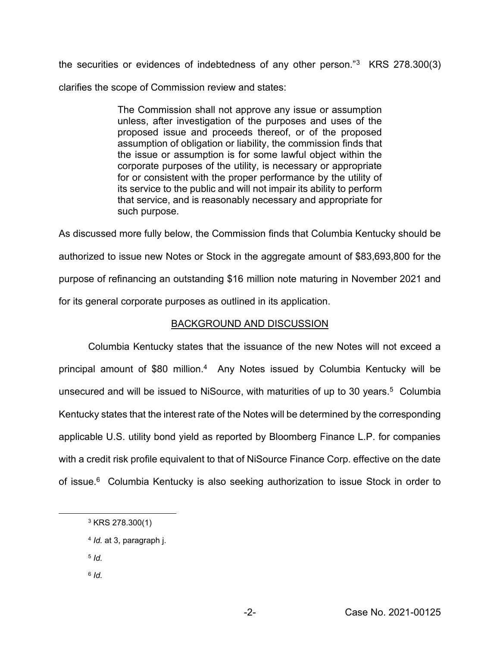the securities or evidences of indebtedness of any other person."3 KRS 278.300(3) clarifies the scope of Commission review and states:

> The Commission shall not approve any issue or assumption unless, after investigation of the purposes and uses of the proposed issue and proceeds thereof, or of the proposed assumption of obligation or liability, the commission finds that the issue or assumption is for some lawful object within the corporate purposes of the utility, is necessary or appropriate for or consistent with the proper performance by the utility of its service to the public and will not impair its ability to perform that service, and is reasonably necessary and appropriate for such purpose.

As discussed more fully below, the Commission finds that Columbia Kentucky should be authorized to issue new Notes or Stock in the aggregate amount of \$83,693,800 for the purpose of refinancing an outstanding \$16 million note maturing in November 2021 and for its general corporate purposes as outlined in its application.

# BACKGROUND AND DISCUSSION

Columbia Kentucky states that the issuance of the new Notes will not exceed a principal amount of \$80 million. 4 Any Notes issued by Columbia Kentucky will be unsecured and will be issued to NiSource, with maturities of up to 30 years.<sup>5</sup> Columbia Kentucky states that the interest rate of the Notes will be determined by the corresponding applicable U.S. utility bond yield as reported by Bloomberg Finance L.P. for companies with a credit risk profile equivalent to that of NiSource Finance Corp. effective on the date of issue.<sup>6</sup> Columbia Kentucky is also seeking authorization to issue Stock in order to

- <sup>5</sup> *Id.*
- <sup>6</sup> *Id.*

<sup>3</sup> KRS 278.300(1)

<sup>4</sup> *Id.* at 3, paragraph j.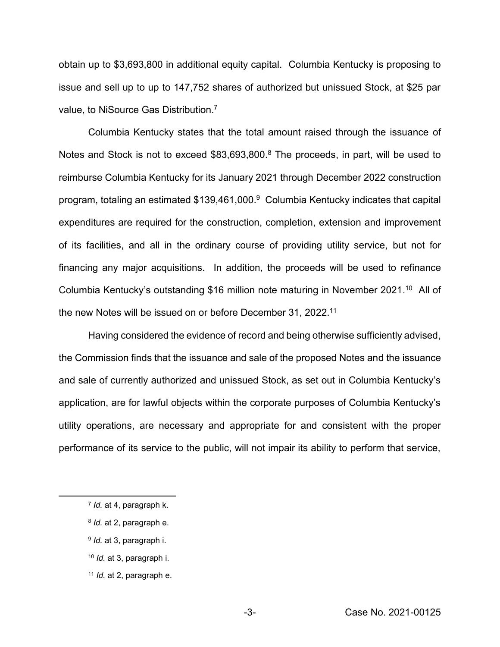obtain up to \$3,693,800 in additional equity capital. Columbia Kentucky is proposing to issue and sell up to up to 147,752 shares of authorized but unissued Stock, at \$25 par value, to NiSource Gas Distribution.7

Columbia Kentucky states that the total amount raised through the issuance of Notes and Stock is not to exceed \$83,693,800.<sup>8</sup> The proceeds, in part, will be used to reimburse Columbia Kentucky for its January 2021 through December 2022 construction program, totaling an estimated \$139,461,000. 9 Columbia Kentucky indicates that capital expenditures are required for the construction, completion, extension and improvement of its facilities, and all in the ordinary course of providing utility service, but not for financing any major acquisitions. In addition, the proceeds will be used to refinance Columbia Kentucky's outstanding \$16 million note maturing in November 2021.<sup>10</sup> All of the new Notes will be issued on or before December 31, 2022.<sup>11</sup>

Having considered the evidence of record and being otherwise sufficiently advised, the Commission finds that the issuance and sale of the proposed Notes and the issuance and sale of currently authorized and unissued Stock, as set out in Columbia Kentucky's application, are for lawful objects within the corporate purposes of Columbia Kentucky's utility operations, are necessary and appropriate for and consistent with the proper performance of its service to the public, will not impair its ability to perform that service,

- <sup>10</sup> *Id.* at 3, paragraph i.
- <sup>11</sup> *Id.* at 2, paragraph e.

<sup>7</sup> *Id.* at 4, paragraph k.

<sup>8</sup> *Id.* at 2, paragraph e.

<sup>9</sup> *Id.* at 3, paragraph i.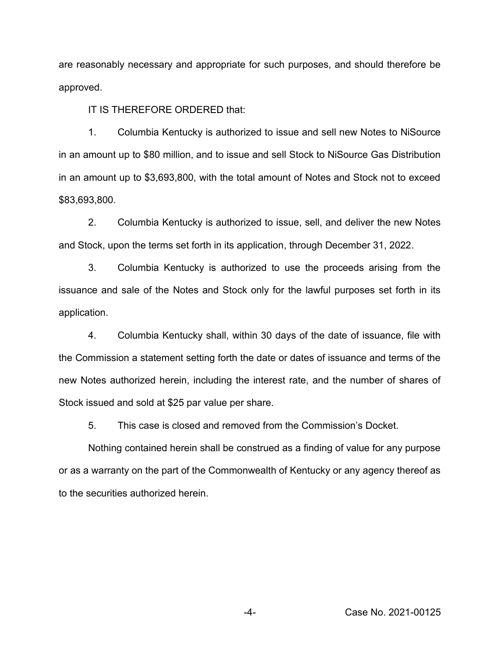are reasonably necessary and appropriate for such purposes, and should therefore be approved.

IT IS THEREFORE ORDERED that:

1. Columbia Kentucky is authorized to issue and sell new Notes to NiSource in an amount up to \$80 million, and to issue and sell Stock to NiSource Gas Distribution in an amount up to \$3,693,800, with the total amount of Notes and Stock not to exceed \$83,693,800.

2. Columbia Kentucky is authorized to issue, sell, and deliver the new Notes and Stock, upon the terms set forth in its application, through December 31, 2022.

3. Columbia Kentucky is authorized to use the proceeds arising from the issuance and sale of the Notes and Stock only for the lawful purposes set forth in its application.

4. Columbia Kentucky shall, within 30 days of the date of issuance, file with the Commission a statement setting forth the date or dates of issuance and terms of the new Notes authorized herein, including the interest rate, and the number of shares of Stock issued and sold at \$25 par value per share.

5. This case is closed and removed from the Commission's Docket.

Nothing contained herein shall be construed as a finding of value for any purpose or as a warranty on the part of the Commonwealth of Kentucky or any agency thereof as to the securities authorized herein.

-4- Case No. 2021-00125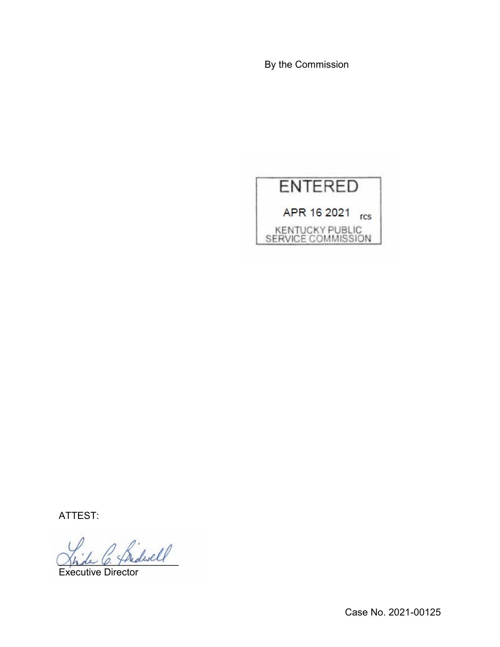By the Commission



ATTEST:

\_\_\_\_\_\_\_\_\_\_\_\_\_\_\_\_\_\_\_\_\_\_

Executive Director

Case No. 2021-00125